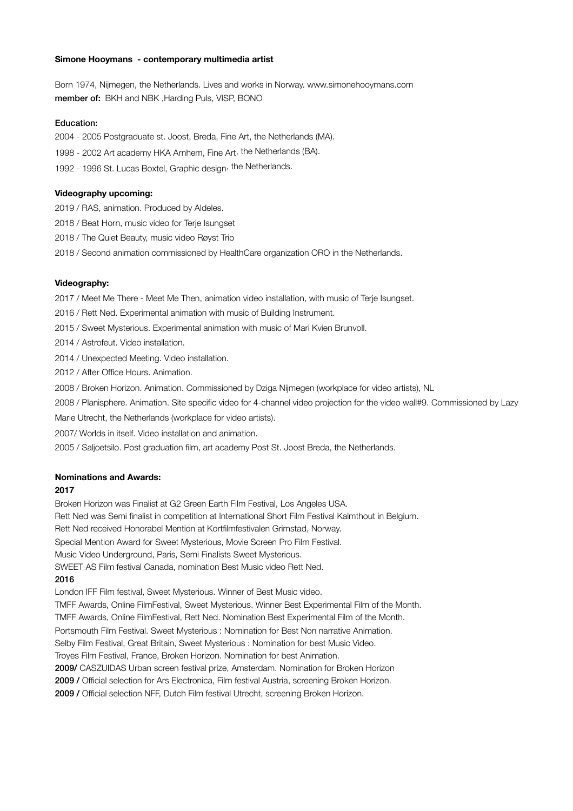#### **Simone Hooymans - contemporary multimedia artist**

Born 1974, Nijmegen, the Netherlands. Lives and works in Norway. www.simonehooymans.com member of: BKH and NBK ,Harding Puls, VISP, BONO

### Education:

2004 - 2005 Postgraduate st. Joost, Breda, Fine Art, the Netherlands (MA).

1998 - 2002 Art academy HKA Arnhem, Fine Art, the Netherlands (BA).

1992 - 1996 St. Lucas Boxtel, Graphic design, the Netherlands.

#### **Videography upcoming:**

2019 / RAS, animation. Produced by Aldeles.

2018 / Beat Horn, music video for Terje Isungset

2018 / The Quiet Beauty, music video Røyst Trio

2018 / Second animation commissioned by HealthCare organization ORO in the Netherlands.

#### **Videography:**

2017 / Meet Me There - Meet Me Then, animation video installation, with music of Terje Isungset.

2016 / Rett Ned. Experimental animation with music of Building Instrument.

2015 / Sweet Mysterious. Experimental animation with music of Mari Kvien Brunvoll.

2014 / Astrofeut. Video installation.

2014 / Unexpected Meeting. Video installation.

2012 / After Office Hours. Animation.

2008 / Broken Horizon. Animation. Commissioned by Dziga Nijmegen (workplace for video artists), NL

2008 / Planisphere. Animation. Site specific video for 4-channel video projection for the video wall#9. Commissioned by Lazy

Marie Utrecht, the Netherlands (workplace for video artists).

2007/ Worlds in itself. Video installation and animation.

2005 / Saljoetsilo. Post graduation film, art academy Post St. Joost Breda, the Netherlands.

### **Nominations and Awards:**

## **2017**

Broken Horizon was Finalist at G2 Green Earth Film Festival, Los Angeles USA.

Rett Ned was Semi finalist in competition at International Short Film Festival Kalmthout in Belgium.

Rett Ned received Honorabel Mention at Kortfilmfestivalen Grimstad, Norway.

Special Mention Award for Sweet Mysterious, Movie Screen Pro Film Festival.

Music Video Underground, Paris, Semi Finalists Sweet Mysterious.

SWEET AS Film festival Canada, nomination Best Music video Rett Ned.

## 2016

London IFF Film festival, Sweet Mysterious. Winner of Best Music video.

TMFF Awards, Online FilmFestival, Sweet Mysterious. Winner Best Experimental Film of the Month.

TMFF Awards, Online FilmFestival, Rett Ned. Nomination Best Experimental Film of the Month.

Portsmouth Film Festival. Sweet Mysterious : Nomination for Best Non narrative Animation.

Selby Film Festival, Great Britain, Sweet Mysterious : Nomination for best Music Video.

Troyes Film Festival, France, Broken Horizon. Nomination for best Animation.

2009/ CASZUIDAS Urban screen festival prize, Amsterdam. Nomination for Broken Horizon

2009 / Official selection for Ars Electronica, Film festival Austria, screening Broken Horizon.

2009 / Official selection NFF, Dutch Film festival Utrecht, screening Broken Horizon.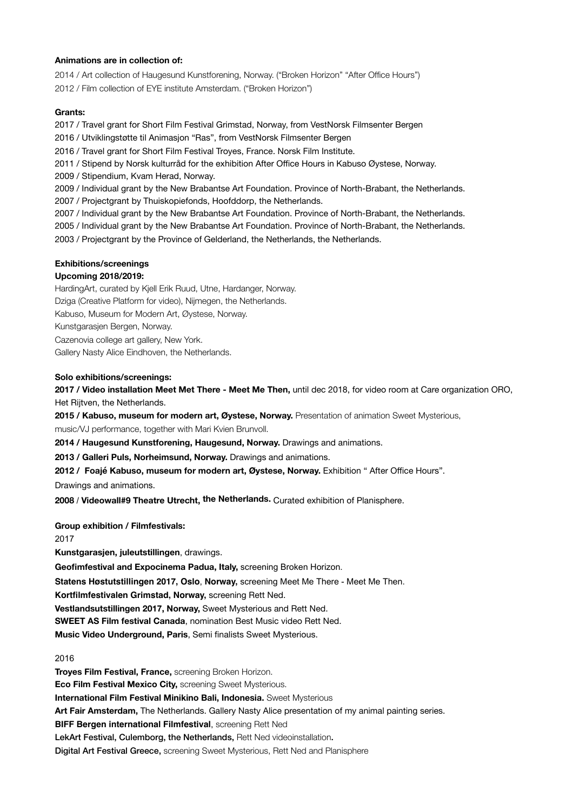## **Animations are in collection of:**

2014 / Art collection of Haugesund Kunstforening, Norway. ("Broken Horizon" "After Office Hours") 2012 / Film collection of EYE institute Amsterdam. ("Broken Horizon")

## **Grants:**

2017 / Travel grant for Short Film Festival Grimstad, Norway, from VestNorsk Filmsenter Bergen 2016 / Utviklingstøtte til Animasjon "Ras", from VestNorsk Filmsenter Bergen 2016 / Travel grant for Short Film Festival Troyes, France. Norsk Film Institute. 2011 / Stipend by Norsk kulturråd for the exhibition After Office Hours in Kabuso Øystese, Norway. 2009 / Stipendium, Kvam Herad, Norway. 2009 / Individual grant by the New Brabantse Art Foundation. Province of North-Brabant, the Netherlands. 2007 / Projectgrant by Thuiskopiefonds, Hoofddorp, the Netherlands. 2007 / Individual grant by the New Brabantse Art Foundation. Province of North-Brabant, the Netherlands. 2005 / Individual grant by the New Brabantse Art Foundation. Province of North-Brabant, the Netherlands.

2003 / Projectgrant by the Province of Gelderland, the Netherlands, the Netherlands.

### **Exhibitions/screenings**

### **Upcoming 2018/2019:**

HardingArt, curated by Kjell Erik Ruud, Utne, Hardanger, Norway. Dziga (Creative Platform for video), Nijmegen, the Netherlands. Kabuso, Museum for Modern Art, Øystese, Norway. Kunstgarasjen Bergen, Norway. Cazenovia college art gallery, New York. Gallery Nasty Alice Eindhoven, the Netherlands.

#### **Solo exhibitions/screenings:**

**2017 / Video installation Meet Met There - Meet Me Then,** until dec 2018, for video room at Care organization ORO, Het Rijtven, the Netherlands.

2015 / Kabuso, museum for modern art, Øystese, Norway. Presentation of animation Sweet Mysterious,

music/VJ performance, together with Mari Kvien Brunvoll.

**2014 / Haugesund Kunstforening, Haugesund, Norway.** Drawings and animations.

**2013 / Galleri Puls, Norheimsund, Norway.** Drawings and animations.

**2012 / Foajé Kabuso, museum for modern art, Øystese, Norway.** Exhibition " After Office Hours".

Drawings and animations.

**2008** / **Videowall#9 Theatre Utrecht, the Netherlands.** Curated exhibition of Planisphere.

**Group exhibition / Filmfestivals:**

2017

**Kunstgarasjen, juleutstillingen**, drawings.

**Geofimfestival and Expocinema Padua, Italy,** screening Broken Horizon.

**Statens Høstutstillingen 2017, Oslo**, **Norway,** screening Meet Me There - Meet Me Then.

**Kortfilmfestivalen Grimstad, Norway,** screening Rett Ned.

**Vestlandsutstillingen 2017, Norway,** Sweet Mysterious and Rett Ned.

**SWEET AS Film festival Canada**, nomination Best Music video Rett Ned.

**Music Video Underground, Paris**, Semi finalists Sweet Mysterious.

# 2016

**Troyes Film Festival, France,** screening Broken Horizon. **Eco Film Festival Mexico City,** screening Sweet Mysterious. **International Film Festival Minikino Bali, Indonesia.** Sweet Mysterious **Art Fair Amsterdam,** The Netherlands. Gallery Nasty Alice presentation of my animal painting series. **BIFF Bergen international Filmfestival**, screening Rett Ned LekArt Festival, Culemborg, the Netherlands, Rett Ned videoinstallation. Digital Art Festival Greece, screening Sweet Mysterious, Rett Ned and Planisphere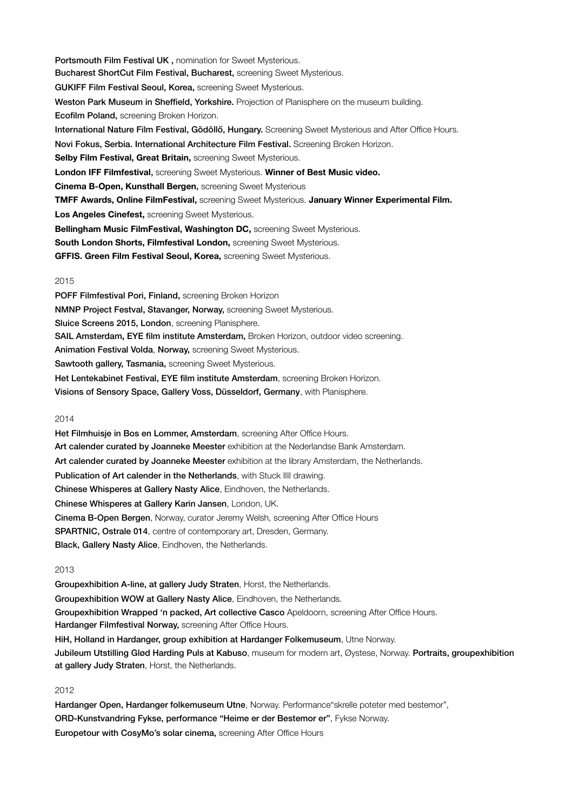Portsmouth Film Festival UK, nomination for Sweet Mysterious. Bucharest ShortCut Film Festival, Bucharest, screening Sweet Mysterious. GUKIFF Film Festival Seoul, Korea, screening Sweet Mysterious. Weston Park Museum in Sheffield, Yorkshire. Projection of Planisphere on the museum building. Ecofilm Poland, screening Broken Horizon. International Nature Film Festival, Gödöllő, Hungary. Screening Sweet Mysterious and After Office Hours. Novi Fokus, Serbia. International Architecture Film Festival. Screening Broken Horizon. **Selby Film Festival, Great Britain,** screening Sweet Mysterious. **London IFF Filmfestival**, screening Sweet Mysterious. **Winner of Best Music video. Cinema B-Open, Kunsthall Bergen**, screening Sweet Mysterious **TMFF Awards, Online FilmFestival,** screening Sweet Mysterious. **January Winner Experimental Film. Los Angeles Cinefest,** screening Sweet Mysterious. **Bellingham Music FilmFestival, Washington DC, screening Sweet Mysterious. South London Shorts, Filmfestival London,** screening Sweet Mysterious. **GFFIS. Green Film Festival Seoul, Korea,** screening Sweet Mysterious.

#### 2015

POFF Filmfestival Pori, Finland, screening Broken Horizon NMNP Project Festval, Stavanger, Norway, screening Sweet Mysterious. Sluice Screens 2015, London, screening Planisphere. SAIL Amsterdam**,** EYE film institute Amsterdam, Broken Horizon, outdoor video screening. Animation Festival Volda, Norway, screening Sweet Mysterious. Sawtooth gallery, Tasmania, screening Sweet Mysterious. Het Lentekabinet Festival, EYE film institute Amsterdam, screening Broken Horizon. Visions of Sensory Space, Gallery Voss, Düsseldorf, Germany, with Planisphere.

#### 2014

Het Filmhuisje in Bos en Lommer, Amsterdam, screening After Office Hours. Art calender curated by Joanneke Meester exhibition at the Nederlandse Bank Amsterdam. Art calender curated by Joanneke Meester exhibition at the library Amsterdam, the Netherlands. Publication of Art calender in the Netherlands, with Stuck IIII drawing. Chinese Whisperes at Gallery Nasty Alice, Eindhoven, the Netherlands. Chinese Whisperes at Gallery Karin Jansen, London, UK. Cinema B-Open Bergen, Norway, curator Jeremy Welsh, screening After Office Hours SPARTNIC, Ostrale 014, centre of contemporary art, Dresden, Germany. Black, Gallery Nasty Alice, Eindhoven, the Netherlands.

#### 2013

Groupexhibition A-line, at gallery Judy Straten, Horst, the Netherlands. Groupexhibition WOW at Gallery Nasty Alice, Eindhoven, the Netherlands. Groupexhibition Wrapped 'n packed, Art collective Casco Apeldoorn, screening After Office Hours. Hardanger Filmfestival Norway, screening After Office Hours. HiH, Holland in Hardanger, group exhibition at Hardanger Folkemuseum, Utne Norway. Jubileum Utstilling Glød Harding Puls at Kabuso, museum for modern art, Øystese, Norway. Portraits, groupexhibition at gallery Judy Straten, Horst, the Netherlands.

# 2012

Hardanger Open, Hardanger folkemuseum Utne, Norway. Performance "skrelle poteter med bestemor", ORD-Kunstvandring Fykse, performance "Heime er der Bestemor er", Fykse Norway. Europetour with CosyMo's solar cinema, screening After Office Hours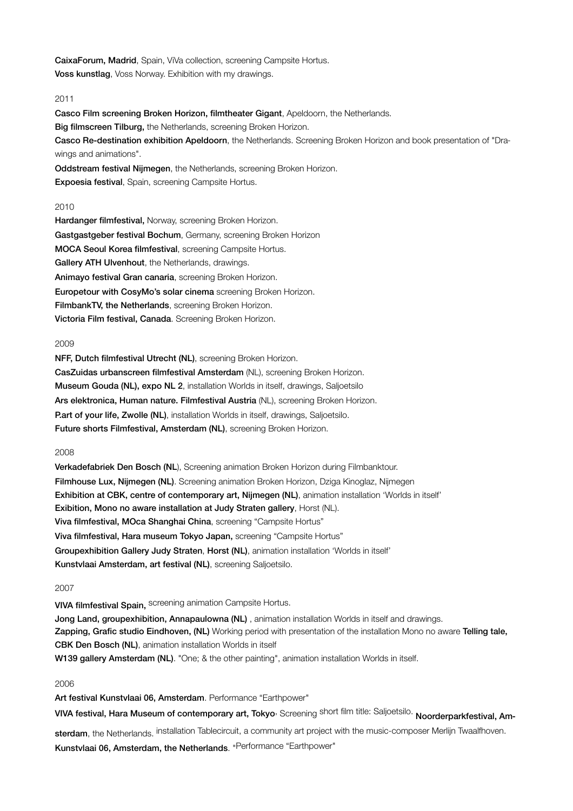CaixaForum, Madrid, Spain, ViVa collection, screening Campsite Hortus. Voss kunstlag, Voss Norway. Exhibition with my drawings.

# 2011

Casco Film screening Broken Horizon, filmtheater Gigant, Apeldoorn, the Netherlands. Big filmscreen Tilburg, the Netherlands, screening Broken Horizon. Casco Re-destination exhibition Apeldoorn, the Netherlands. Screening Broken Horizon and book presentation of "Drawings and animations".

Oddstream festival Nijmegen, the Netherlands, screening Broken Horizon. Expoesia festival, Spain, screening Campsite Hortus.

### 2010

Hardanger filmfestival, Norway, screening Broken Horizon. Gastgastgeber festival Bochum, Germany, screening Broken Horizon MOCA Seoul Korea filmfestival, screening Campsite Hortus. Gallery ATH Ulvenhout, the Netherlands, drawings. Animayo festival Gran canaria, screening Broken Horizon. Europetour with CosyMo's solar cinema screening Broken Horizon. FilmbankTV, the Netherlands, screening Broken Horizon. Victoria Film festival, Canada. Screening Broken Horizon.

#### 2009

NFF, Dutch filmfestival Utrecht (NL), screening Broken Horizon. CasZuidas urbanscreen filmfestival Amsterdam (NL), screening Broken Horizon. Museum Gouda (NL), expo NL 2, installation Worlds in itself, drawings, Saljoetsilo Ars elektronica, Human nature. Filmfestival Austria (NL), screening Broken Horizon. P.art of your life, Zwolle (NL), installation Worlds in itself, drawings, Saljoetsilo. Future shorts Filmfestival, Amsterdam (NL), screening Broken Horizon.

#### 2008

Verkadefabriek Den Bosch (NL), Screening animation Broken Horizon during Filmbanktour. Filmhouse Lux, Nijmegen (NL). Screening animation Broken Horizon, Dziga Kinoglaz, Nijmegen Exhibition at CBK, centre of contemporary art, Nijmegen (NL), animation installation 'Worlds in itself' Exibition, Mono no aware installation at Judy Straten gallery, Horst (NL). Viva filmfestival, MOca Shanghai China, screening "Campsite Hortus" Viva filmfestival, Hara museum Tokyo Japan, screening "Campsite Hortus" Groupexhibition Gallery Judy Straten, Horst (NL), animation installation 'Worlds in itself' Kunstvlaai Amsterdam, art festival (NL), screening Saljoetsilo.

### 2007

VIVA filmfestival Spain, screening animation Campsite Hortus.

Jong Land, groupexhibition, Annapaulowna (NL), animation installation Worlds in itself and drawings. Zapping, Grafic studio Eindhoven, (NL) Working period with presentation of the installation Mono no aware Telling tale, CBK Den Bosch (NL), animation installation Worlds in itself W139 gallery Amsterdam (NL). "One; & the other painting", animation installation Worlds in itself.

# 2006

Art festival Kunstvlaai 06, Amsterdam. Performance "Earthpower"

VIVA festival, Hara Museum of contemporary art, Tokyo, Screening short film title: Saljoetsilo. Noorderparkfestival, Am-

sterdam, the Netherlands. installation Tablecircuit, a community art project with the music-composer Merlijn Twaalfhoven. Kunstvlaai 06, Amsterdam, the Netherlands. "Performance "Earthpower"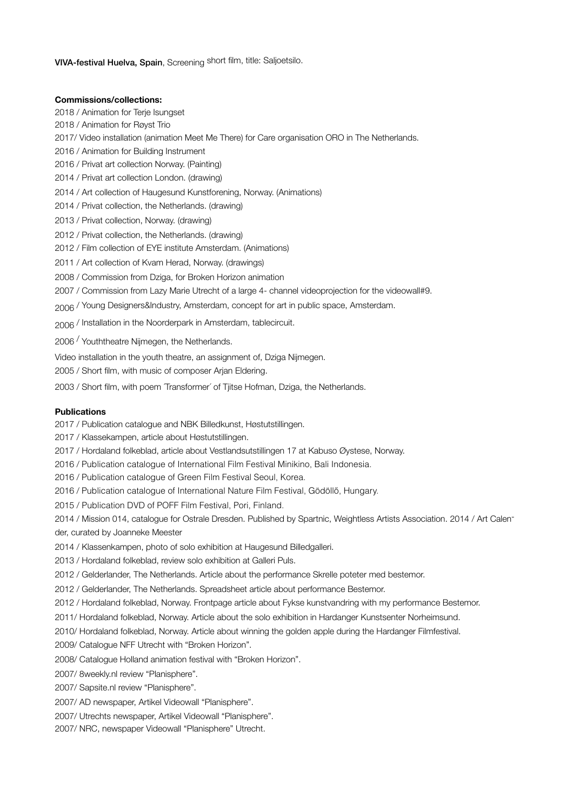VIVA-festival Huelva, Spain, Screening short film, title: Saljoetsilo.

### **Commissions/collections:**

2018 / Animation for Terje Isungset 2018 / Animation for Røyst Trio 2017/ Video installation (animation Meet Me There) for Care organisation ORO in The Netherlands. 2016 / Animation for Building Instrument 2016 / Privat art collection Norway. (Painting) 2014 / Privat art collection London. (drawing) 2014 / Art collection of Haugesund Kunstforening, Norway. (Animations) 2014 / Privat collection, the Netherlands. (drawing) 2013 / Privat collection, Norway. (drawing) 2012 / Privat collection, the Netherlands. (drawing) 2012 / Film collection of EYE institute Amsterdam. (Animations) 2011 / Art collection of Kvam Herad, Norway. (drawings) 2008 / Commission from Dziga, for Broken Horizon animation 2007 / Commission from Lazy Marie Utrecht of a large 4- channel videoprojection for the videowall#9. 2006 / Young Designers&Industry, Amsterdam, concept for art in public space, Amsterdam. 2006 / Installation in the Noorderpark in Amsterdam, tablecircuit. 2006 / Youththeatre Nijmegen, the Netherlands. Video installation in the youth theatre, an assignment of, Dziga Nijmegen. 2005 / Short film, with music of composer Arjan Eldering. 2003 / Short film, with poem Transformer' of Tjitse Hofman, Dziga, the Netherlands.

#### **Publications**

2017 / Publication catalogue and NBK Billedkunst, Høstutstillingen.

2017 / Klassekampen, article about Høstutstillingen.

2017 / Hordaland folkeblad, article about Vestlandsutstillingen 17 at Kabuso Øystese, Norway.

2016 / Publication catalogue of International Film Festival Minikino, Bali Indonesia.

2016 / Publication catalogue of Green Film Festival Seoul, Korea.

2016 / Publication catalogue of International Nature Film Festival, Gödöllő, Hungary.

2015 / Publication DVD of POFF Film Festival, Pori, Finland.

2014 / Mission 014, catalogue for Ostrale Dresden. Published by Spartnic, Weightless Artists Association. 2014 / Art Calender, curated by Joanneke Meester

2014 / Klassenkampen, photo of solo exhibition at Haugesund Billedgalleri.

2013 / Hordaland folkeblad, review solo exhibition at Galleri Puls.

2012 / Gelderlander, The Netherlands. Article about the performance Skrelle poteter med bestemor.

2012 / Gelderlander, The Netherlands. Spreadsheet article about performance Bestemor.

2012 / Hordaland folkeblad, Norway. Frontpage article about Fykse kunstvandring with my performance Bestemor.

2011/ Hordaland folkeblad, Norway. Article about the solo exhibition in Hardanger Kunstsenter Norheimsund.

2010/ Hordaland folkeblad, Norway. Article about winning the golden apple during the Hardanger Filmfestival.

2009/ Catalogue NFF Utrecht with "Broken Horizon".

2008/ Catalogue Holland animation festival with "Broken Horizon".

2007/ 8weekly.nl review "Planisphere".

2007/ Sapsite.nl review "Planisphere".

2007/ AD newspaper, Artikel Videowall "Planisphere".

2007/ Utrechts newspaper, Artikel Videowall "Planisphere".

2007/ NRC, newspaper Videowall "Planisphere" Utrecht.